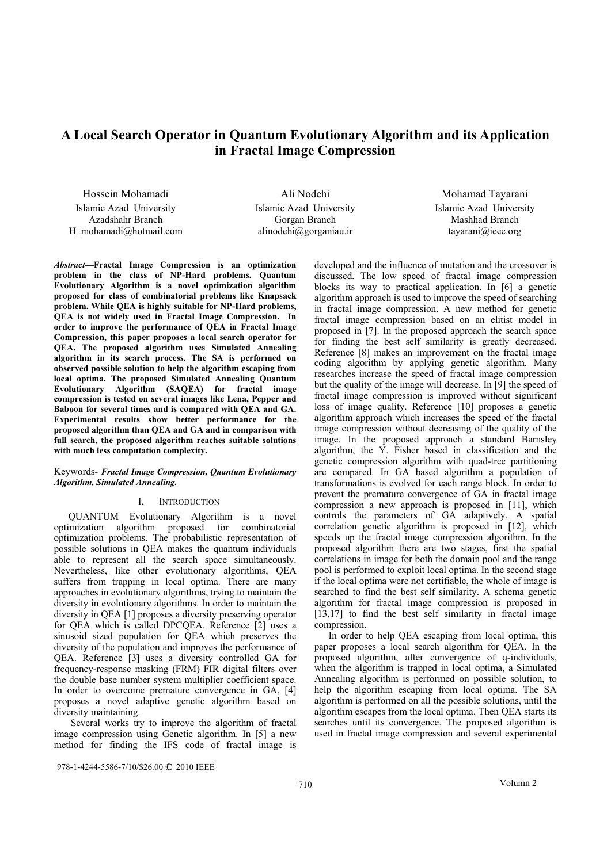# **A Local Search Operator in Quantum Evolutionary Algorithm and its Application in Fractal Image Compression**

Hossein Mohamadi Islamic Azad University Azadshahr Branch H\_mohamadi@hotmail.com

Ali Nodehi Islamic Azad University Gorgan Branch alinodehi@gorganiau.ir

Mohamad Tayarani Islamic Azad University Mashhad Branch tayarani@ieee.org

*Abstract***—Fractal Image Compression is an optimization problem in the class of NP-Hard problems. Quantum Evolutionary Algorithm is a novel optimization algorithm proposed for class of combinatorial problems like Knapsack problem. While QEA is highly suitable for NP-Hard problems, QEA is not widely used in Fractal Image Compression. In order to improve the performance of QEA in Fractal Image Compression, this paper proposes a local search operator for QEA. The proposed algorithm uses Simulated Annealing algorithm in its search process. The SA is performed on observed possible solution to help the algorithm escaping from local optima. The proposed Simulated Annealing Quantum Evolutionary Algorithm (SAQEA) for fractal image compression is tested on several images like Lena, Pepper and Baboon for several times and is compared with QEA and GA. Experimental results show better performance for the proposed algorithm than QEA and GA and in comparison with full search, the proposed algorithm reaches suitable solutions with much less computation complexity.** 

#### Keywords- *Fractal Image Compression, Quantum Evolutionary Algorithm, Simulated Annealing.*

## I. INTRODUCTION

QUANTUM Evolutionary Algorithm is a novel optimization algorithm proposed for combinatorial optimization problems. The probabilistic representation of possible solutions in QEA makes the quantum individuals able to represent all the search space simultaneously. Nevertheless, like other evolutionary algorithms, QEA suffers from trapping in local optima. There are many approaches in evolutionary algorithms, trying to maintain the diversity in evolutionary algorithms. In order to maintain the diversity in QEA [1] proposes a diversity preserving operator for QEA which is called DPCQEA. Reference [2] uses a sinusoid sized population for QEA which preserves the diversity of the population and improves the performance of QEA. Reference [3] uses a diversity controlled GA for frequency-response masking (FRM) FIR digital filters over the double base number system multiplier coefficient space. In order to overcome premature convergence in GA, [4] proposes a novel adaptive genetic algorithm based on diversity maintaining.

 Several works try to improve the algorithm of fractal image compression using Genetic algorithm. In [5] a new method for finding the IFS code of fractal image is developed and the influence of mutation and the crossover is discussed. The low speed of fractal image compression blocks its way to practical application. In [6] a genetic algorithm approach is used to improve the speed of searching in fractal image compression. A new method for genetic fractal image compression based on an elitist model in proposed in [7]. In the proposed approach the search space for finding the best self similarity is greatly decreased. Reference [8] makes an improvement on the fractal image coding algorithm by applying genetic algorithm. Many researches increase the speed of fractal image compression but the quality of the image will decrease. In [9] the speed of fractal image compression is improved without significant loss of image quality. Reference [10] proposes a genetic algorithm approach which increases the speed of the fractal image compression without decreasing of the quality of the image. In the proposed approach a standard Barnsley algorithm, the Y. Fisher based in classification and the genetic compression algorithm with quad-tree partitioning are compared. In GA based algorithm a population of transformations is evolved for each range block. In order to prevent the premature convergence of GA in fractal image compression a new approach is proposed in [11], which controls the parameters of GA adaptively. A spatial correlation genetic algorithm is proposed in [12], which speeds up the fractal image compression algorithm. In the proposed algorithm there are two stages, first the spatial correlations in image for both the domain pool and the range pool is performed to exploit local optima. In the second stage if the local optima were not certifiable, the whole of image is searched to find the best self similarity. A schema genetic algorithm for fractal image compression is proposed in [13,17] to find the best self similarity in fractal image compression.

In order to help QEA escaping from local optima, this paper proposes a local search algorithm for QEA. In the proposed algorithm, after convergence of q-individuals, when the algorithm is trapped in local optima, a Simulated Annealing algorithm is performed on possible solution, to help the algorithm escaping from local optima. The SA algorithm is performed on all the possible solutions, until the algorithm escapes from the local optima. Then QEA starts its searches until its convergence. The proposed algorithm is used in fractal image compression and several experimental

<sup>978-1-4244-5586-7/10/\$26.00 © 2010</sup> IEEE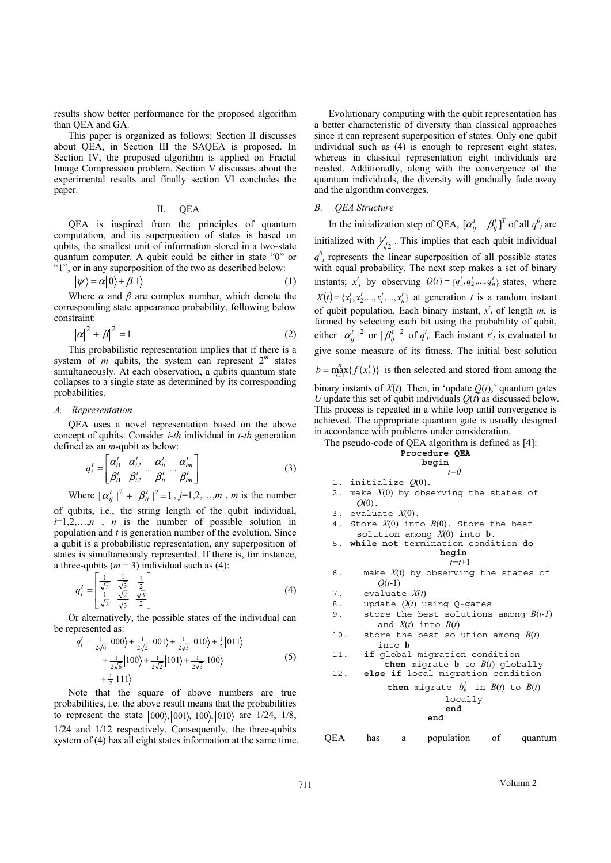results show better performance for the proposed algorithm than QEA and GA.

This paper is organized as follows: Section II discusses about QEA, in Section III the SAQEA is proposed. In Section IV, the proposed algorithm is applied on Fractal Image Compression problem. Section V discusses about the experimental results and finally section VI concludes the paper.

### II. QEA

QEA is inspired from the principles of quantum computation, and its superposition of states is based on qubits, the smallest unit of information stored in a two-state quantum computer. A qubit could be either in state "0" or "1", or in any superposition of the two as described below:

$$
|\psi\rangle = \alpha|0\rangle + \beta|1\rangle \tag{1}
$$

Where  $\alpha$  and  $\beta$  are complex number, which denote the corresponding state appearance probability, following below constraint:

$$
|\alpha|^2 + |\beta|^2 = 1\tag{2}
$$

This probabilistic representation implies that if there is a system of *m* qubits, the system can represent  $2^m$  states simultaneously. At each observation, a qubits quantum state collapses to a single state as determined by its corresponding probabilities.

#### *A. Representation*

QEA uses a novel representation based on the above concept of qubits. Consider *i-th* individual in *t-th* generation defined as an *m-*qubit as below:

$$
q_i^t = \begin{bmatrix} \alpha_{i1}^t & \alpha_{i2}^t & \alpha_{ii}^t & \alpha_{im}^t \\ \beta_{i1}^t & \beta_{i2}^t & \beta_{ii}^t & \beta_{im}^t \end{bmatrix}
$$
 (3)

Where  $|\alpha_{ij}^t|^2 + |\beta_{ij}^t|^2 = 1, j=1,2,...,m$ , *m* is the number

of qubits, i.e., the string length of the qubit individual,  $i=1,2,...,n$ , *n* is the number of possible solution in population and *t* is generation number of the evolution. Since a qubit is a probabilistic representation, any superposition of states is simultaneously represented. If there is, for instance, a three-qubits  $(m = 3)$  individual such as (4):

$$
q_i' = \begin{bmatrix} \frac{1}{\sqrt{2}} & \frac{1}{\sqrt{3}} & \frac{1}{2} \\ \frac{1}{\sqrt{2}} & \frac{\sqrt{2}}{\sqrt{3}} & \frac{\sqrt{3}}{2} \end{bmatrix}
$$
 (4)

Or alternatively, the possible states of the individual can be represented as:

$$
q'_{i} = \frac{1}{2\sqrt{6}} |000\rangle + \frac{1}{2\sqrt{2}} |001\rangle + \frac{1}{2\sqrt{3}} |010\rangle + \frac{1}{2} |011\rangle
$$
  
+ 
$$
\frac{1}{2\sqrt{6}} |100\rangle + \frac{1}{2\sqrt{2}} |101\rangle + \frac{1}{2\sqrt{3}} |100\rangle
$$
 (5)  
+ 
$$
\frac{1}{2} |111\rangle
$$

Note that the square of above numbers are true probabilities, i.e. the above result means that the probabilities to represent the state  $|000\rangle, |001\rangle, |100\rangle, |010\rangle$  are 1/24, 1/8, 1/24 and 1/12 respectively. Consequently, the three-qubits system of (4) has all eight states information at the same time.

Evolutionary computing with the qubit representation has a better characteristic of diversity than classical approaches since it can represent superposition of states. Only one qubit individual such as (4) is enough to represent eight states, whereas in classical representation eight individuals are needed. Additionally, along with the convergence of the quantum individuals, the diversity will gradually fade away and the algorithm converges.

### *B. QEA Structure*

In the initialization step of QEA,  $[\alpha_{ij}^t \quad \beta_{ij}^t]^T$  of all  $q^0$  are initialized with  $\frac{1}{\sqrt{2}}$ . This implies that each qubit individual  $q^{\theta}$  represents the linear superposition of all possible states with equal probability. The next step makes a set of binary instants;  $x^t_i$  by observing  $Q(t) = \{q^t_1, q^t_2, ..., q^t_n\}$  states, where  $X(t) = \{x_1^t, x_2^t, \dots, x_i^t, \dots, x_n^t\}$  at generation *t* is a random instant of qubit population. Each binary instant, *x t <sup>i</sup>* of length *m*, is formed by selecting each bit using the probability of qubit, either  $|\alpha_{ij}^t|^2$  or  $|\beta_{ij}^t|^2$  of  $q_i^t$ . Each instant  $x_i^t$  is evaluated to give some measure of its fitness. The initial best solution  $b = \max_{i=1}^{n} \{ f(x_i^t) \}$  is then selected and stored from among the

binary instants of  $X(t)$ . Then, in 'update  $O(t)$ ,' quantum gates *U* update this set of qubit individuals *Q*(*t*) as discussed below. This process is repeated in a while loop until convergence is achieved. The appropriate quantum gate is usually designed in accordance with problems under consideration.

The pseudo-code of QEA algorithm is defined as [4]:

#### **Procedure QEA begin**

- *t=0*
- 1. initialize *Q*(0).
- 2. make *X*(0) by observing the states of  $Q(0)$ .
- 3. evaluate  $X(0)$ .
- 4. Store *X*(0) into *B*(0). Store the best solution among  $X(0)$  into **b**.
- 5. **while not** termination condition **do begin** *t=t*+1
- 6. make *X*(t) by observing the states of *Q*(*t*-1)
- 7. evaluate *X*(*t*)
- 8. update *Q*(*t*) using Q-gates
- 9. store the best solutions among *B*(*t-1*) and  $X(t)$  into  $B(t)$
- 10. store the best solution among *B*(*t*) into **b**

11. if global migration condition  
\nthen migrate **b** to 
$$
B(t)
$$
 globally

12. else if local migration condition\n
$$
M = \frac{1}{2}
$$

then 
$$
\text{migrate} \quad b_k^t
$$
 in  $B(t)$  to  $B(t)$ 

\nlocally

\nend

QEA has a population of quantum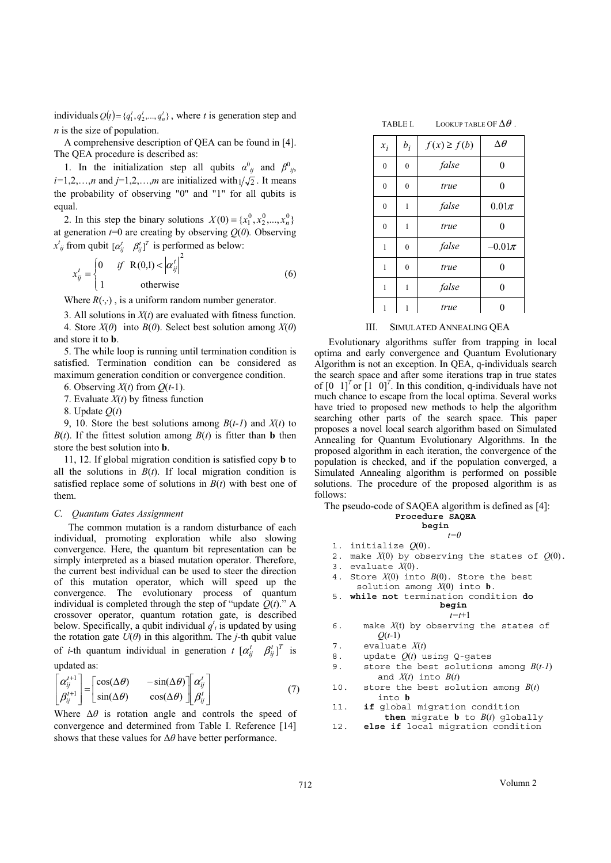individuals  $Q(t) = \{q_1^t, q_2^t, ..., q_n^t\}$ , where *t* is generation step and *n* is the size of population.

A comprehensive description of QEA can be found in [4]. The QEA procedure is described as:

1. In the initialization step all qubits  $\alpha_{ij}^0$  and  $\beta_{ij}^0$ ,  $i=1,2,\ldots,n$  and  $j=1,2,\ldots,m$  are initialized with  $1/\sqrt{2}$ . It means the probability of observing "0" and "1" for all qubits is equal.

2. In this step the binary solutions  $X(0) = \{x_1^0, x_2^0, ..., x_n^0\}$ at generation  $t=0$  are creating by observing  $Q(0)$ . Observing  $x^t_{ij}$  from qubit  $[\alpha_{ij}^t \quad \beta_{ij}^t]^T$  is performed as below:

$$
x_{ij}^t = \begin{cases} 0 & \text{if } R(0,1) < |\alpha_{ij}^t| \\ 1 & \text{otherwise} \end{cases} \tag{6}
$$

Where  $R(\cdot, \cdot)$ , is a uniform random number generator.

3. All solutions in *X*(*t*) are evaluated with fitness function.

4. Store  $X(0)$  into  $B(0)$ . Select best solution among  $X(0)$ and store it to **b**.

5. The while loop is running until termination condition is satisfied. Termination condition can be considered as maximum generation condition or convergence condition.

6. Observing  $X(t)$  from  $Q(t-1)$ .

7. Evaluate *X*(*t*) by fitness function

8. Update *Q*(*t*)

9, 10. Store the best solutions among  $B(t-1)$  and  $X(t)$  to *B*(*t*). If the fittest solution among *B*(*t*) is fitter than **b** then store the best solution into **b**.

11, 12. If global migration condition is satisfied copy **b** to all the solutions in  $B(t)$ . If local migration condition is satisfied replace some of solutions in  $B(t)$  with best one of them.

#### *C. Quantum Gates Assignment*

The common mutation is a random disturbance of each individual, promoting exploration while also slowing convergence. Here, the quantum bit representation can be simply interpreted as a biased mutation operator. Therefore, the current best individual can be used to steer the direction of this mutation operator, which will speed up the convergence. The evolutionary process of quantum individual is completed through the step of "update  $\overline{O}(t)$ ." A crossover operator, quantum rotation gate, is described below. Specifically, a qubit individual  $q_i$  is updated by using the rotation gate  $U(\theta)$  in this algorithm. The *j*-th qubit value of *i*-th quantum individual in generation  $t \left[ \alpha_{ij}^t \quad \beta_{ij}^t \right]^T$  is updated as:

$$
\begin{bmatrix} \alpha_{ij}^{t+1} \\ \beta_{ij}^{t+1} \end{bmatrix} = \begin{bmatrix} \cos(\Delta\theta) & -\sin(\Delta\theta) \\ \sin(\Delta\theta) & \cos(\Delta\theta) \end{bmatrix} \begin{bmatrix} \alpha_{ij}^t \\ \beta_{ij}^t \end{bmatrix}
$$
(7)

Where  $\Delta\theta$  is rotation angle and controls the speed of convergence and determined from Table I. Reference [14] shows that these values for  $\Delta\theta$  have better performance.

TABLE I. LOOKUP TABLE OF  $\Delta\theta$ .

| $x_i$          | $b_i$          | $f(x) \ge f(b)$ | $\Delta\theta$ |
|----------------|----------------|-----------------|----------------|
| $\overline{0}$ | $\overline{0}$ | false           | $\theta$       |
| $\overline{0}$ | $\overline{0}$ | true            | $\theta$       |
| $\mathbf{0}$   | 1              | false           | $0.01\pi$      |
| $\mathbf{0}$   | 1              | true            | $\theta$       |
| $\mathbf{1}$   | $\mathbf{0}$   | false           | $-0.01\pi$     |
| $\mathbf{1}$   | $\mathbf{0}$   | true            | $\theta$       |
| $\mathbf{1}$   | 1              | false           | $\theta$       |
| $\mathbf{1}$   | 1              | true            | 0              |

#### III. SIMULATED ANNEALING QEA

Evolutionary algorithms suffer from trapping in local optima and early convergence and Quantum Evolutionary Algorithm is not an exception. In QEA, q-individuals search the search space and after some iterations trap in true states of  $\begin{bmatrix} 0 \\ 1 \end{bmatrix}^T$  or  $\begin{bmatrix} 1 \\ 0 \end{bmatrix}^T$ . In this condition, q-individuals have not much chance to escape from the local optima. Several works have tried to proposed new methods to help the algorithm searching other parts of the search space. This paper proposes a novel local search algorithm based on Simulated Annealing for Quantum Evolutionary Algorithms. In the proposed algorithm in each iteration, the convergence of the population is checked, and if the population converged, a Simulated Annealing algorithm is performed on possible solutions. The procedure of the proposed algorithm is as follows:

The pseudo-code of SAQEA algorithm is defined as [4]: **Procedure SAQEA**

$$
\begin{matrix}\texttt{begin}\n\\ \texttt{begin}\n\\ \texttt{end}\n\end{matrix}
$$

- 1. initialize *Q*(0).
- 2. make  $X(0)$  by observing the states of  $Q(0)$ .
- 3. evaluate  $X(0)$ .
- 4. Store *X*(0) into *B*(0). Store the best solution among *X*(0) into **b**.
- 5. **while not** termination condition **do begin** *t=t*+1
- 6. make *X*(t) by observing the states of *Q*(*t*-1)
- 7. evaluate *X*(*t*)
- 8. update *Q*(*t*) using Q-gates
- 9. store the best solutions among *B*(*t-1*) and *X*(*t*) into *B*(*t*)
- 10. store the best solution among *B*(*t*) into **b**
- 11. **if** global migration condition **then** migrate **b** to  $B(t)$  globally
- 12. **else if** local migration condition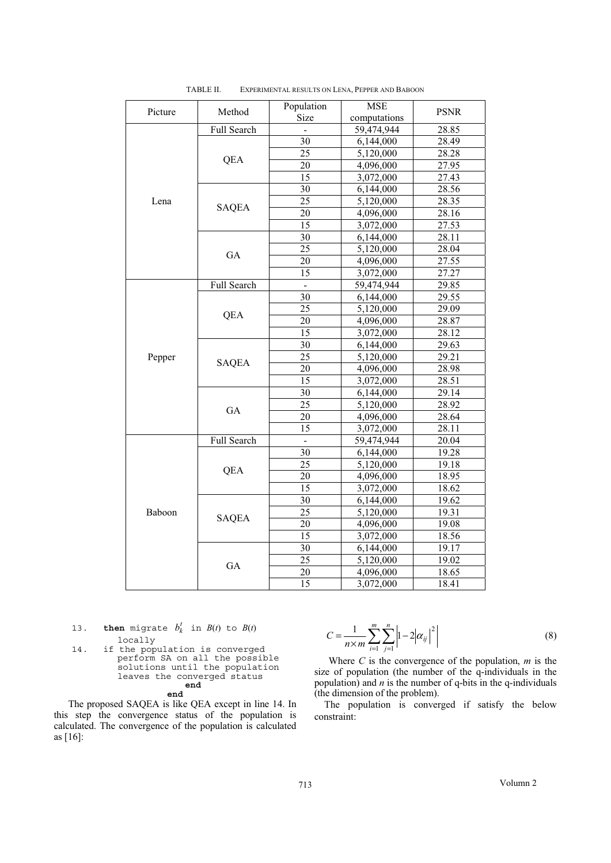| Picture | Method       | Population      | <b>MSE</b>   | <b>PSNR</b> |
|---------|--------------|-----------------|--------------|-------------|
|         |              | Size            | computations |             |
|         | Full Search  | $\overline{a}$  | 59,474,944   | 28.85       |
|         |              | 30              | 6,144,000    | 28.49       |
|         |              | 25              | 5,120,000    | 28.28       |
|         | QEA          | 20              | 4,096,000    | 27.95       |
|         |              | 15              | 3,072,000    | 27.43       |
|         |              | 30              | 6,144,000    | 28.56       |
| Lena    | <b>SAQEA</b> | 25              | 5,120,000    | 28.35       |
|         |              | 20              | 4,096,000    | 28.16       |
|         |              | 15              | 3,072,000    | 27.53       |
|         |              | 30              | 6,144,000    | 28.11       |
|         | GA           | $\overline{25}$ | 5,120,000    | 28.04       |
|         |              | 20              | 4,096,000    | 27.55       |
|         |              | 15              | 3,072,000    | 27.27       |
|         | Full Search  |                 | 59,474,944   | 29.85       |
|         |              | 30              | 6,144,000    | 29.55       |
|         |              | 25              | 5,120,000    | 29.09       |
|         | QEA          | 20              | 4,096,000    | 28.87       |
|         |              | 15              | 3,072,000    | 28.12       |
|         |              | 30              | 6,144,000    | 29.63       |
| Pepper  |              | 25              | 5,120,000    | 29.21       |
|         | <b>SAQEA</b> | 20              | 4,096,000    | 28.98       |
|         |              | 15              | 3,072,000    | 28.51       |
|         |              | 30              | 6,144,000    | 29.14       |
|         | GA           | 25              | 5,120,000    | 28.92       |
|         |              | 20              | 4,096,000    | 28.64       |
|         |              | 15              | 3,072,000    | 28.11       |
|         | Full Search  |                 | 59,474,944   | 20.04       |
|         |              | 30              | 6,144,000    | 19.28       |
|         | QEA          | 25              | 5,120,000    | 19.18       |
|         |              | 20              | 4,096,000    | 18.95       |
|         |              | 15              | 3,072,000    | 18.62       |
|         |              | 30              | 6,144,000    | 19.62       |
| Baboon  | <b>SAQEA</b> | $\overline{25}$ | 5,120,000    | 19.31       |
|         |              | 20              | 4,096,000    | 19.08       |
|         |              | 15              | 3,072,000    | 18.56       |
|         |              | 30              | 6,144,000    | 19.17       |
|         | GA           | 25              | 5,120,000    | 19.02       |
|         |              | 20              | 4,096,000    | 18.65       |
|         |              | 15              | 3,072,000    | 18.41       |

TABLE II. EXPERIMENTAL RESULTS ON LENA, PEPPER AND BABOON

- 13. **then** migrate  $b_k^t$  in  $B(t)$  to  $B(t)$ locally
- 14. if the population is converged perform SA on all the possible solutions until the population leaves the converged status **end**

**end** 

The proposed SAQEA is like QEA except in line 14. In this step the convergence status of the population is calculated. The convergence of the population is calculated as [16]:

$$
C = \frac{1}{n \times m} \sum_{i=1}^{m} \sum_{j=1}^{n} \left| 1 - 2 \left| \alpha_{ij} \right|^{2} \right| \tag{8}
$$

Where *C* is the convergence of the population, *m* is the size of population (the number of the q-individuals in the population) and  $n$  is the number of q-bits in the q-individuals (the dimension of the problem).

The population is converged if satisfy the below constraint: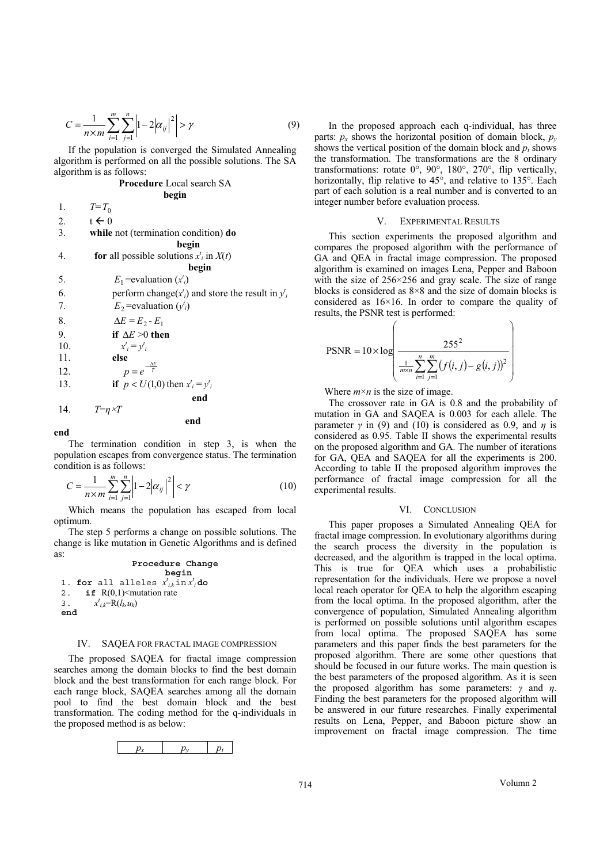$$
C = \frac{1}{n \times m} \sum_{i=1}^{m} \sum_{j=1}^{n} \left| 1 - 2 \left| \alpha_{ij} \right|^{2} \right| > \gamma
$$
 (9)

If the population is converged the Simulated Annealing algorithm is performed on all the possible solutions. The SA algorithm is as follows:

## **Procedure** Local search SA

|  | begin |
|--|-------|
|  |       |

1.  $T=T_0$ 

| 2.  | $t \leftarrow 0$                           |
|-----|--------------------------------------------|
| 3.  | while not (termination condition) do       |
|     | begin                                      |
|     | for all possible solutions $x_i$ in $X(t)$ |
|     | begin                                      |
| -5. | $E_1$ =evaluation $(x_i)$                  |

| 6.  | perform change( $x_i^t$ ) and store the result in $y_i^t$ |
|-----|-----------------------------------------------------------|
| 7.  | $E_2$ =evaluation ( $y_i^t$ )                             |
| 8.  | $\Delta E = E_2 - E_1$                                    |
| 9.  | if $\Delta E > 0$ then                                    |
| 10. | $x_i^t = y_i^t$                                           |
| 11. | else                                                      |
| 12. | $p=e^{-\frac{\Delta E}{T}}$                               |
| 13. | if $p < U(1,0)$ then $x_i^t = y_i^t$                      |
|     | end                                                       |
| 14. | $T=n \times T$                                            |

**end** 

#### **end**

The termination condition in step 3, is when the population escapes from convergence status. The termination condition is as follows:

$$
C = \frac{1}{n \times m} \sum_{i=1}^{m} \sum_{j=1}^{n} \left| 1 - 2 \left| \alpha_{ij} \right|^{2} \right| < \gamma
$$
 (10)

Which means the population has escaped from local optimum.

The step 5 performs a change on possible solutions. The change is like mutation in Genetic Algorithms and is defined as:

## **Procedure Change**

**begin**  1. **for** all alleles  $x^t_{i,k}$  in  $x^t_i$  do 2. **if** R(0,1)<mutation rate 3. *x*  $t_{i,k} = R(l_k, u_k)$ **end**

## IV. SAQEA FOR FRACTAL IMAGE COMPRESSION

The proposed SAQEA for fractal image compression searches among the domain blocks to find the best domain block and the best transformation for each range block. For each range block, SAQEA searches among all the domain pool to find the best domain block and the best transformation. The coding method for the q-individuals in the proposed method is as below:

|--|--|--|

In the proposed approach each q-individual, has three parts:  $p_x$  shows the horizontal position of domain block,  $p_y$ shows the vertical position of the domain block and  $p_t$  shows the transformation. The transformations are the 8 ordinary transformations: rotate 0°, 90°, 180°, 270°, flip vertically, horizontally, flip relative to 45°, and relative to 135°. Each part of each solution is a real number and is converted to an integer number before evaluation process.

#### V. EXPERIMENTAL RESULTS

This section experiments the proposed algorithm and compares the proposed algorithm with the performance of GA and QEA in fractal image compression. The proposed algorithm is examined on images Lena, Pepper and Baboon with the size of 256×256 and gray scale. The size of range blocks is considered as 8×8 and the size of domain blocks is considered as 16×16. In order to compare the quality of results, the PSNR test is performed:

$$
\text{PSNR} = 10 \times \log \left( \frac{255^2}{\frac{1}{m \times n} \sum_{i=1}^{n} \sum_{j=1}^{m} (f(i, j) - g(i, j))^2} \right)
$$

Where  $m \times n$  is the size of image.

The crossover rate in GA is 0.8 and the probability of mutation in GA and SAQEA is 0.003 for each allele. The parameter  $\gamma$  in (9) and (10) is considered as 0.9, and  $\eta$  is considered as 0.95. Table II shows the experimental results on the proposed algorithm and GA. The number of iterations for GA, QEA and SAQEA for all the experiments is 200. According to table II the proposed algorithm improves the performance of fractal image compression for all the experimental results.

#### VI. CONCLUSION

This paper proposes a Simulated Annealing QEA for fractal image compression. In evolutionary algorithms during the search process the diversity in the population is decreased, and the algorithm is trapped in the local optima. This is true for QEA which uses a probabilistic representation for the individuals. Here we propose a novel local reach operator for QEA to help the algorithm escaping from the local optima. In the proposed algorithm, after the convergence of population, Simulated Annealing algorithm is performed on possible solutions until algorithm escapes from local optima. The proposed SAQEA has some parameters and this paper finds the best parameters for the proposed algorithm. There are some other questions that should be focused in our future works. The main question is the best parameters of the proposed algorithm. As it is seen the proposed algorithm has some parameters:  $\gamma$  and  $\eta$ . Finding the best parameters for the proposed algorithm will be answered in our future researches. Finally experimental results on Lena, Pepper, and Baboon picture show an improvement on fractal image compression. The time

*i*